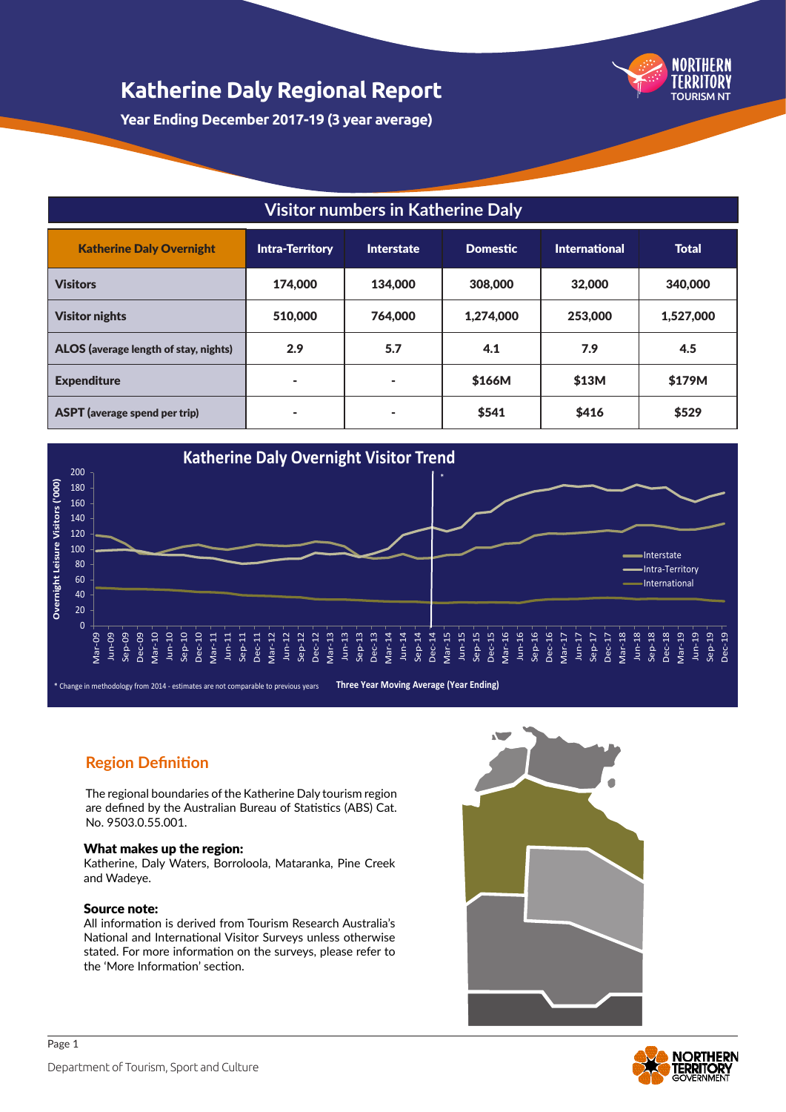

**Year Ending December 2017-19 (3 year average)**

## **Visitor numbers in Katherine Daly**

| <b>Katherine Daly Overnight</b>       | <b>Intra-Territory</b> | Interstate               | <b>Domestic</b> | International | <b>Total</b> |
|---------------------------------------|------------------------|--------------------------|-----------------|---------------|--------------|
| <b>Visitors</b>                       | 174,000                | 134,000                  | 308,000         | 32,000        | 340,000      |
| <b>Visitor nights</b>                 | 510,000                | 764,000                  | 1,274,000       | 253,000       | 1,527,000    |
| ALOS (average length of stay, nights) | 2.9                    | 5.7                      | 4.1             | 7.9           | 4.5          |
| <b>Expenditure</b>                    | ۰                      | ۰                        | \$166M          | \$13M         | \$179M       |
| <b>ASPT</b> (average spend per trip)  | ۰                      | $\overline{\phantom{a}}$ | \$541           | \$416         | \$529        |



## **Region Definition**

The regional boundaries of the Katherine Daly tourism region are defined by the Australian Bureau of Statistics (ABS) Cat. No. 9503.0.55.001.

#### What makes up the region:

Katherine, Daly Waters, Borroloola, Mataranka, Pine Creek and Wadeye.

#### Source note:

All information is derived from Tourism Research Australia's National and International Visitor Surveys unless otherwise stated. For more information on the surveys, please refer to the 'More Information' section.



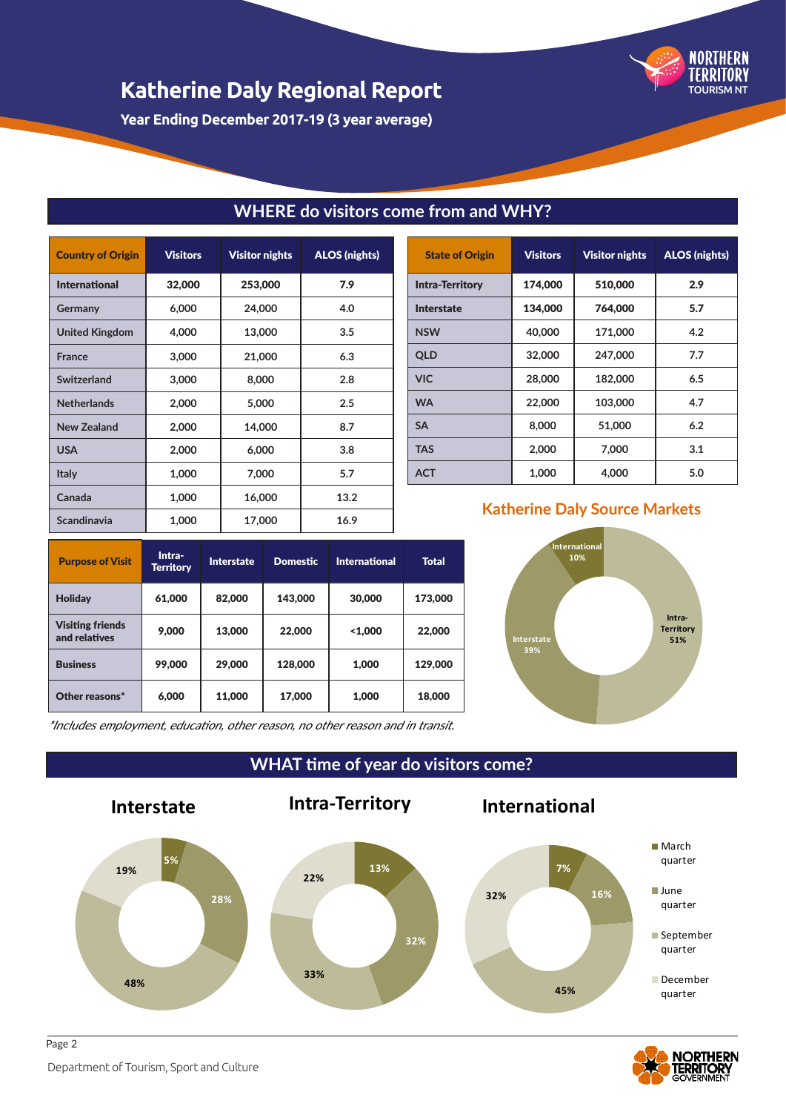

**Year Ending December 2017-19 (3 year average)**

| <b>Country of Origin</b> | <b>Visitors</b> | <b>Visitor nights</b> | <b>ALOS (nights)</b> |
|--------------------------|-----------------|-----------------------|----------------------|
| <b>International</b>     | 32,000          | 253,000               | 7.9                  |
| Germany                  | 6,000           | 24,000                | 4.0                  |
| <b>United Kingdom</b>    | 4,000           | 13,000                | 3.5                  |
| <b>France</b>            | 3,000           | 21,000                | 6.3                  |
| Switzerland              | 3,000           | 8,000                 | 2.8                  |
| <b>Netherlands</b>       | 2,000           | 5,000                 | 2.5                  |
| New Zealand              | 2,000           | 14,000                | 8.7                  |
| <b>USA</b>               | 2,000           | 6,000                 | 3.8                  |
| <b>Italy</b>             | 1,000           | 7,000                 | 5.7                  |
| Canada                   | 1,000           | 16,000                | 13.2                 |
| Scandinavia              | 1,000           | 17,000                | 16.9                 |

# Visitors Visitor nights ALOS (nights

|                        |         | _________ |     |
|------------------------|---------|-----------|-----|
| <b>Intra-Territory</b> | 174.000 | 510,000   | 2.9 |
| <b>Interstate</b>      | 134,000 | 764,000   | 5.7 |
| <b>NSW</b>             | 40,000  | 171,000   | 4.2 |
| QLD                    | 32,000  | 247,000   | 7.7 |
| <b>VIC</b>             | 28,000  | 182,000   | 6.5 |
| <b>WA</b>              | 22,000  | 103,000   | 4.7 |
| <b>SA</b>              | 8.000   | 51,000    | 6.2 |
| <b>TAS</b>             | 2,000   | 7,000     | 3.1 |
| <b>ACT</b>             | 1,000   | 4.000     | 5.0 |

## **Purpose of Visit** Intra-Interstate Domestic International Total Holiday 61,000 82,000 143,000 30,000 173,000 Visiting friends Visiting friends<br>
and relatives 9,000 13,000 22,000 <1,000 22,000 Business | 99,000 | 29,000 | 128,000 | 1,000 | 129,000 Other reasons\* 6,000 11,000 17,000 1,000 18,000

## **Katherine Daly Source Markets**



\*Includes employment, education, other reason, no other reason and in transit.

**WHAT time of year do visitors come?**

**WHERE do visitors come from and WHY?**





Department of Tourism, Sport and Culture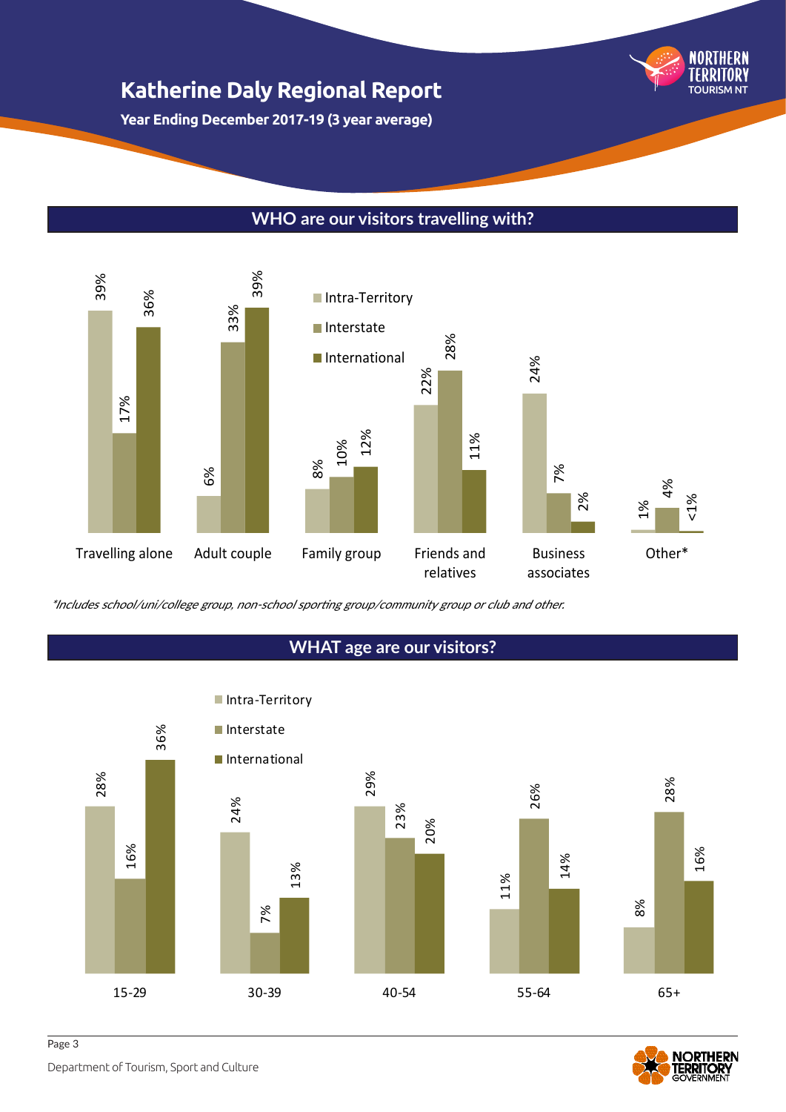**Year Ending December 2017-19 (3 year average)**

## **WHO are our visitors travelling with?**





## **WHAT age are our visitors?**



TOURISM NT

Department of Tourism, Sport and Culture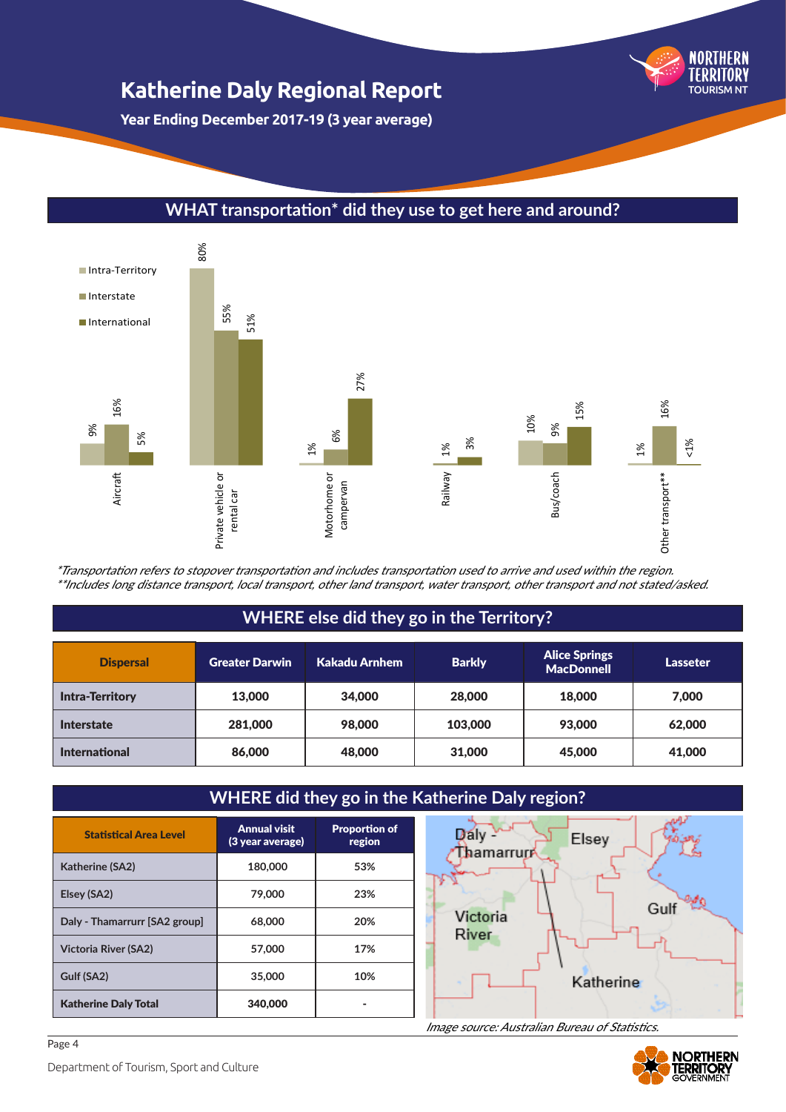**Year Ending December 2017-19 (3 year average)**

## **WHAT transportation\* did they use to get here and around?**



\*Transportation refers to stopover transportation and includes transportation used to arrive and used within the region. \*\*Includes long distance transport, local transport, other land transport, water transport, other transport and not stated/asked.

## **WHERE else did they go in the Territory?**

| <b>Dispersal</b>       | <b>Greater Darwin</b> | <b>Kakadu Arnhem</b> | <b>Barkly</b> | <b>Alice Springs</b><br><b>MacDonnell</b> | Lasseter |
|------------------------|-----------------------|----------------------|---------------|-------------------------------------------|----------|
| <b>Intra-Territory</b> | 13,000                | 34,000               | 28,000        | 18,000                                    | 7,000    |
| <b>Interstate</b>      | 281,000               | 98,000               | 103,000       | 93,000                                    | 62,000   |
| <b>International</b>   | 86,000                | 48,000               | 31,000        | 45,000                                    | 41,000   |

#### **WHERE did they go in the Katherine Daly region?** Statistical Area Level **Annual visit** Proportion of  $D_2$ <sub>N</sub> Elsey (3 year average) region **Thamarrup Katherine (SA2) 180,000 53% Elsey (SA2) 79,000 23%** Gulf Victoria **Daly - Thamarrurr [SA2 group] 68,000 20%** River **Victoria River (SA2) 57,000 17% Gulf (SA2)** 35,000 10% Katherine Katherine Daly Total **1988** 340,000 -

Image source: Australian Bureau of Statistics.



TOURISM NT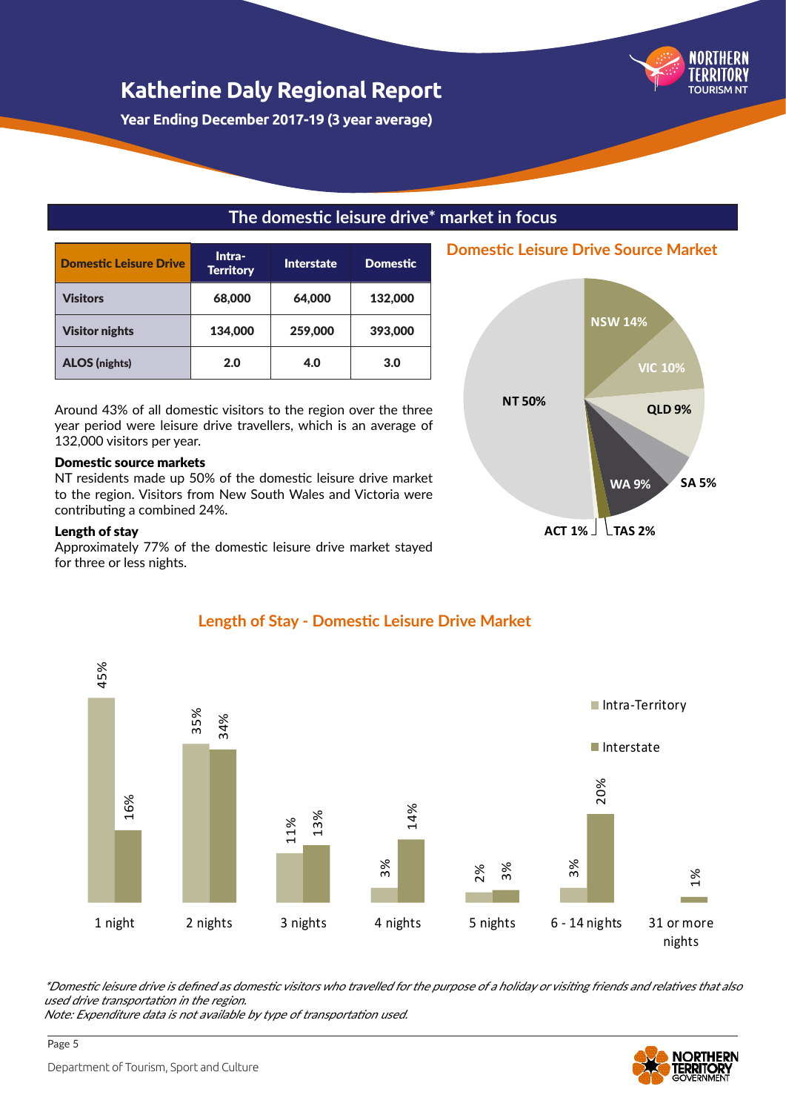**Year Ending December 2017-19 (3 year average)**

## **The domestic leisure drive\* market in focus**

| <b>Domestic Leisure Drive</b> | Intra-<br><b>Territory</b> | Interstate | <b>Domestic</b> |
|-------------------------------|----------------------------|------------|-----------------|
| Visitors                      | 68,000                     | 64,000     | 132,000         |
| <b>Visitor nights</b>         | 134,000                    | 259,000    | 393,000         |
| <b>ALOS</b> (nights)          | 2.0                        | 4.0        | 3.0             |

Around 43% of all domestic visitors to the region over the three year period were leisure drive travellers, which is an average of 132,000 visitors per year.

#### Domestic source markets

NT residents made up 50% of the domestic leisure drive market to the region. Visitors from New South Wales and Victoria were contributing a combined 24%.

#### Length of stay

Approximately 77% of the domestic leisure drive market stayed for three or less nights.



**Domestic Leisure Drive Source Market**

TOURISM NT



## **Length of Stay - Domestic Leisure Drive Market**

\*Domestic leisure drive is defined as domestic visitors who travelled for the purpose of a holiday or visiting friends and relatives that also used drive transportation in the region.

Note: Expenditure data is not available by type of transportation used.

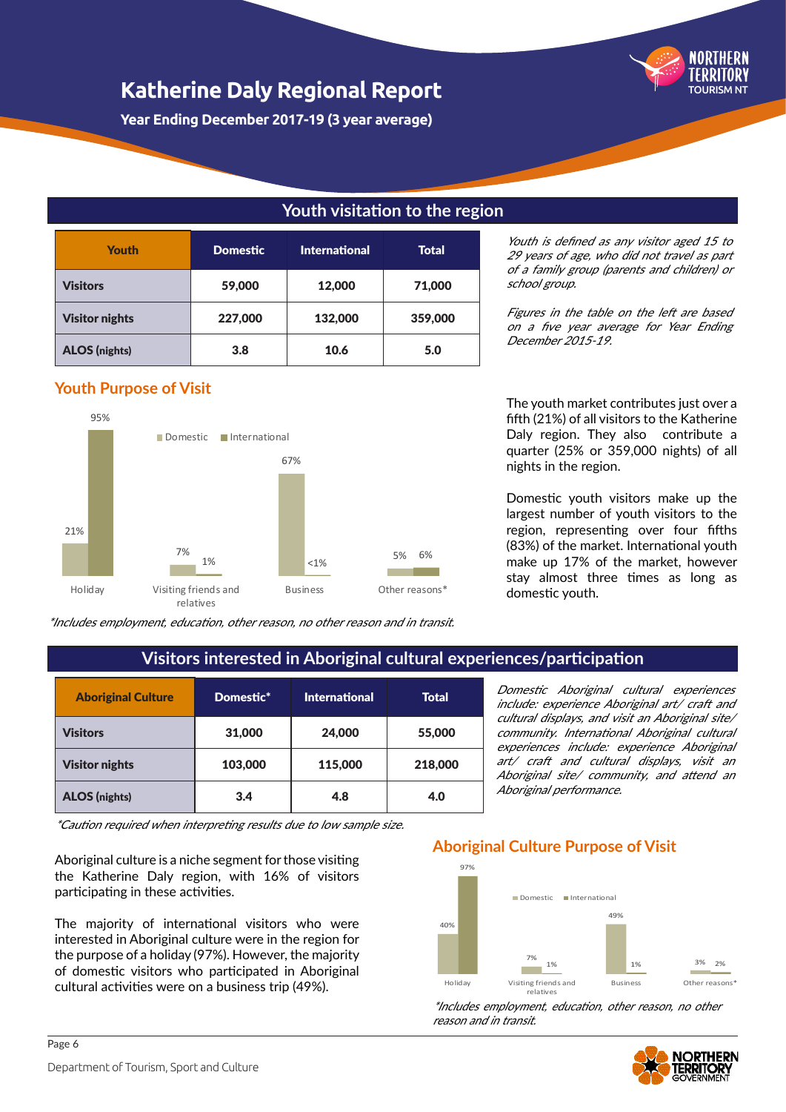**Year Ending December 2017-19 (3 year average)**

## **Youth visitation to the region**

| <b>Youth</b>          | <b>Domestic</b> | <b>International</b> | Total   |
|-----------------------|-----------------|----------------------|---------|
| <b>Visitors</b>       | 59,000          | 12,000               | 71,000  |
| <b>Visitor nights</b> | 227,000         | 132,000              | 359,000 |
| <b>ALOS</b> (nights)  | 3.8             | 10.6                 | 5.0     |

### **Youth Purpose of Visit**



\*Includes employment, education, other reason, no other reason and in transit.

Youth is defined as any visitor aged 15 to 29 years of age, who did not travel as part of a family group (parents and children) or school group.

TOURISM NT

Figures in the table on the left are based on a five year average for Year Ending December 2015-19.

The youth market contributes just over a fifth (21%) of all visitors to the Katherine Daly region. They also contribute a quarter (25% or 359,000 nights) of all nights in the region.

Domestic youth visitors make up the largest number of youth visitors to the region, representing over four fifths (83%) of the market. International youth make up 17% of the market, however stay almost three times as long as domestic youth.

Domestic Aboriginal cultural experiences include: experience Aboriginal art/ craft and cultural displays, and visit an Aboriginal site/ community. International Aboriginal cultural experiences include: experience Aboriginal art/ craft and cultural displays, visit an Aboriginal site/ community, and attend an

## **Visitors interested in Aboriginal cultural experiences/participation**

| <b>Aboriginal Culture</b> | Domestic* | <b>International</b> | Total   |
|---------------------------|-----------|----------------------|---------|
| <b>Visitors</b>           | 31,000    | 24,000               | 55,000  |
| <b>Visitor nights</b>     | 103,000   | 115,000              | 218,000 |
| <b>ALOS</b> (nights)      | 3.4       | 4.8                  | 4.0     |

\*Caution required when interpreting results due to low sample size.

Aboriginal culture is a niche segment for those visiting the Katherine Daly region, with 16% of visitors participating in these activities.

The majority of international visitors who were interested in Aboriginal culture were in the region for the purpose of a holiday (97%). However, the majority of domestic visitors who participated in Aboriginal cultural activities were on a business trip (49%).

## 97% **Aboriginal Culture Purpose of Visit**

Aboriginal performance.



\*Includes employment, education, other reason, no other reason and in transit.

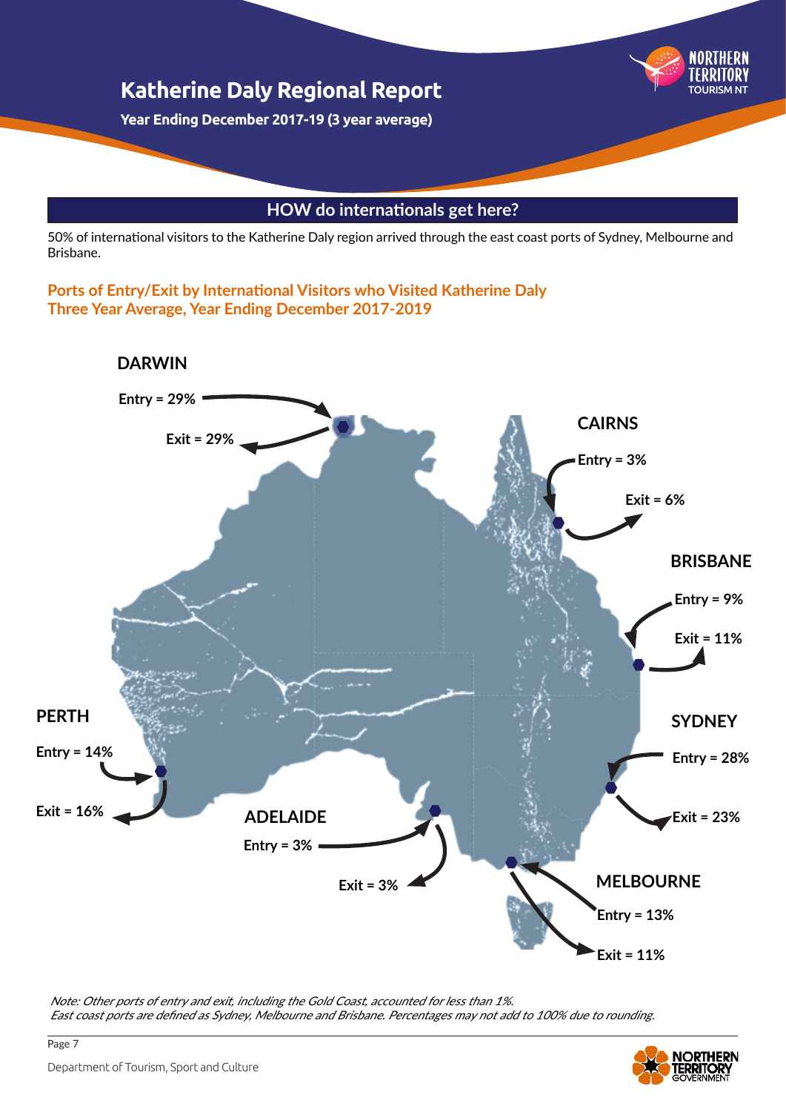

## **HOW do internationals get here?**

50% of international visitors to the Katherine Daly region arrived through the east coast ports of Sydney, Melbourne and Brisbane.

**Ports of Entry/Exit by International Visitors who Visited Katherine Daly Three Year Average, Year Ending December 2017-2019**



Note: Other ports of entry and exit, including the Gold Coast, accounted for less than 1%. East coast ports are defined as Sydney, Melbourne and Brisbane. Percentages may not add to 100% due to rounding.

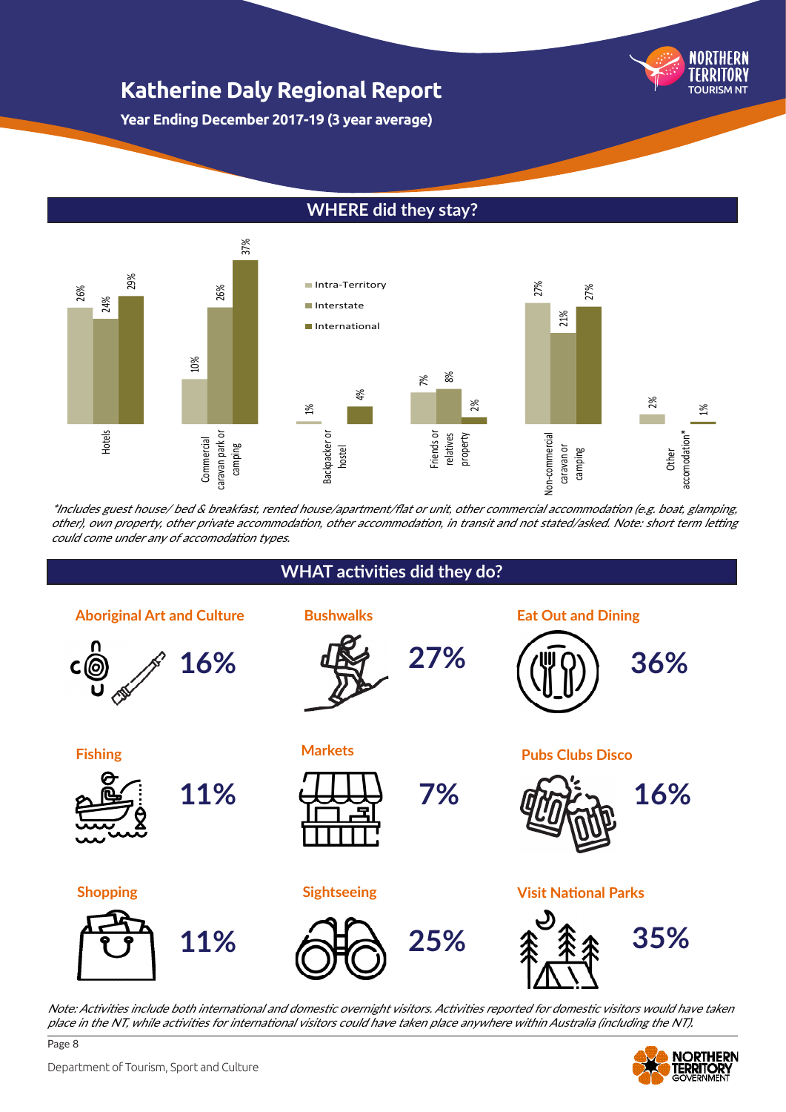**NORTHERN** TOURISM NT

**Year Ending December 2017-19 (3 year average)**

## **WHERE did they stay?**



\*Includes guest house/ bed & breakfast, rented house/apartment/flat or unit, other commercial accommodation (e.g. boat, glamping, other), own property, other private accommodation, other accommodation, in transit and not stated/asked. Note: short term letting could come under any of accomodation types.



Note: Activities include both international and domestic overnight visitors. Activities reported for domestic visitors would have taken